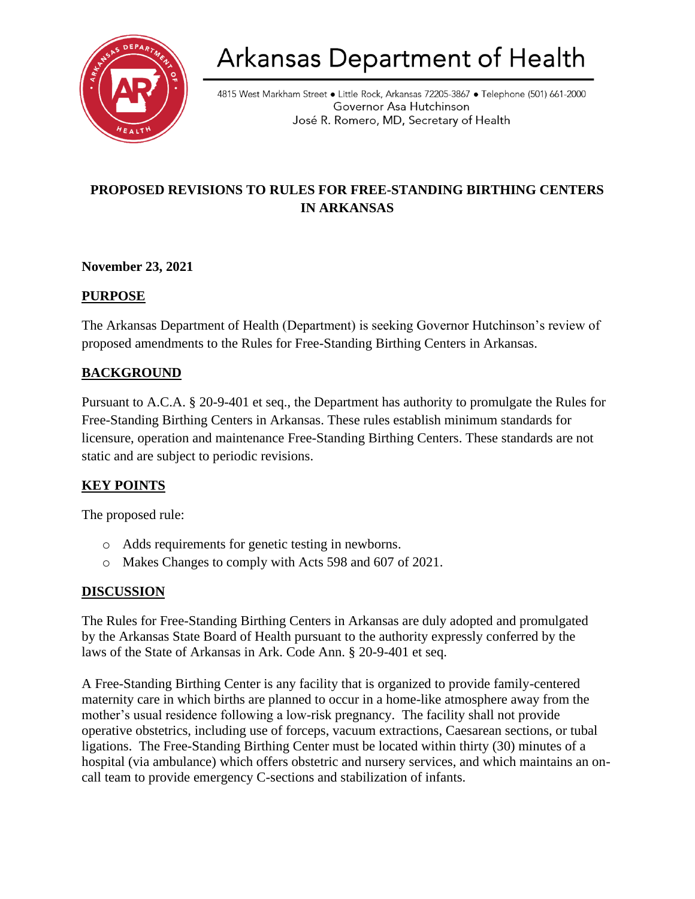

# Arkansas Department of Health

4815 West Markham Street • Little Rock, Arkansas 72205-3867 • Telephone (501) 661-2000 Governor Asa Hutchinson José R. Romero, MD, Secretary of Health

# **PROPOSED REVISIONS TO RULES FOR FREE-STANDING BIRTHING CENTERS IN ARKANSAS**

# **November 23, 2021**

#### **PURPOSE**

The Arkansas Department of Health (Department) is seeking Governor Hutchinson's review of proposed amendments to the Rules for Free-Standing Birthing Centers in Arkansas.

# **BACKGROUND**

Pursuant to A.C.A. § 20-9-401 et seq., the Department has authority to promulgate the Rules for Free-Standing Birthing Centers in Arkansas. These rules establish minimum standards for licensure, operation and maintenance Free-Standing Birthing Centers. These standards are not static and are subject to periodic revisions.

#### **KEY POINTS**

The proposed rule:

- o Adds requirements for genetic testing in newborns.
- o Makes Changes to comply with Acts 598 and 607 of 2021.

#### **DISCUSSION**

The Rules for Free-Standing Birthing Centers in Arkansas are duly adopted and promulgated by the Arkansas State Board of Health pursuant to the authority expressly conferred by the laws of the State of Arkansas in Ark. Code Ann. § 20-9-401 et seq.

A Free-Standing Birthing Center is any facility that is organized to provide family-centered maternity care in which births are planned to occur in a home-like atmosphere away from the mother's usual residence following a low-risk pregnancy. The facility shall not provide operative obstetrics, including use of forceps, vacuum extractions, Caesarean sections, or tubal ligations. The Free-Standing Birthing Center must be located within thirty (30) minutes of a hospital (via ambulance) which offers obstetric and nursery services, and which maintains an oncall team to provide emergency C-sections and stabilization of infants.